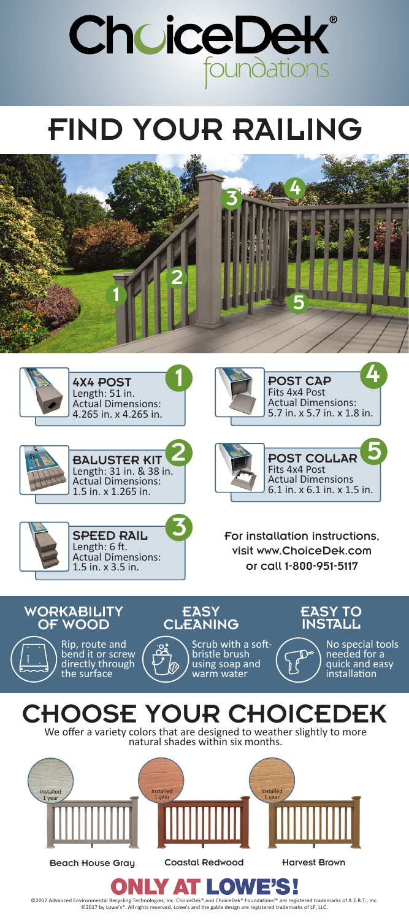

## FIND YOUR RAILING







SPEED RAIL Length: 6 ft. Actual Dimensions: 1.5 in. x 3.5 in.



POST CAP Fits 4x4 Post Actual Dimensions: 5.7 in. x 5.7 in. x 1.8 in. 4



For installation instructions, visit www.ChoiceDek.com or call 1-800-951-5117



3





©2017 Advanced Environmental Recycling Technologies, Inc. ChoiceDek® and ChoiceDek® Foundations™ are registered trademarks of A.E.R.T., Inc.<br>©2017 by Lowe's®. All rights reserved. Lowe's and the gable design are registere